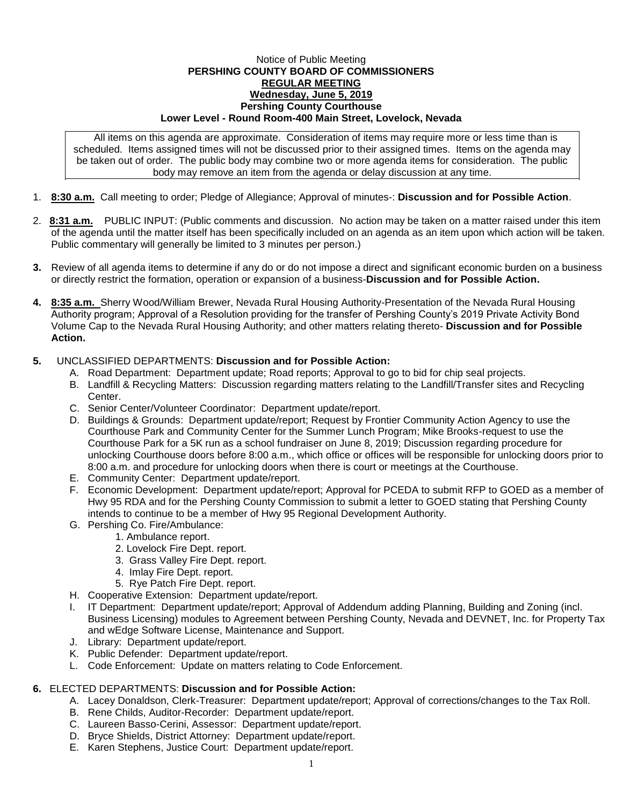## Notice of Public Meeting **PERSHING COUNTY BOARD OF COMMISSIONERS REGULAR MEETING Wednesday, June 5, 2019 Pershing County Courthouse Lower Level - Round Room-400 Main Street, Lovelock, Nevada**

All items on this agenda are approximate. Consideration of items may require more or less time than is scheduled. Items assigned times will not be discussed prior to their assigned times. Items on the agenda may be taken out of order. The public body may combine two or more agenda items for consideration. The public body may remove an item from the agenda or delay discussion at any time.

- 1. **8:30 a.m.** Call meeting to order; Pledge of Allegiance; Approval of minutes-: **Discussion and for Possible Action**.
- 2. **8:31 a.m.** PUBLIC INPUT: (Public comments and discussion. No action may be taken on a matter raised under this item of the agenda until the matter itself has been specifically included on an agenda as an item upon which action will be taken. Public commentary will generally be limited to 3 minutes per person.)
- **3.** Review of all agenda items to determine if any do or do not impose a direct and significant economic burden on a business or directly restrict the formation, operation or expansion of a business-**Discussion and for Possible Action.**
- **4. 8:35 a.m.** Sherry Wood/William Brewer, Nevada Rural Housing Authority-Presentation of the Nevada Rural Housing Authority program; Approval of a Resolution providing for the transfer of Pershing County's 2019 Private Activity Bond Volume Cap to the Nevada Rural Housing Authority; and other matters relating thereto- **Discussion and for Possible Action.**

## **5.** UNCLASSIFIED DEPARTMENTS: **Discussion and for Possible Action:**

- A. Road Department: Department update; Road reports; Approval to go to bid for chip seal projects.
- B. Landfill & Recycling Matters: Discussion regarding matters relating to the Landfill/Transfer sites and Recycling Center.
- C. Senior Center/Volunteer Coordinator: Department update/report.
- D. Buildings & Grounds: Department update/report; Request by Frontier Community Action Agency to use the Courthouse Park and Community Center for the Summer Lunch Program; Mike Brooks-request to use the Courthouse Park for a 5K run as a school fundraiser on June 8, 2019; Discussion regarding procedure for unlocking Courthouse doors before 8:00 a.m., which office or offices will be responsible for unlocking doors prior to 8:00 a.m. and procedure for unlocking doors when there is court or meetings at the Courthouse.
- E. Community Center: Department update/report.
- F. Economic Development: Department update/report; Approval for PCEDA to submit RFP to GOED as a member of Hwy 95 RDA and for the Pershing County Commission to submit a letter to GOED stating that Pershing County intends to continue to be a member of Hwy 95 Regional Development Authority.
- G. Pershing Co. Fire/Ambulance:
	- 1. Ambulance report.
	- 2. Lovelock Fire Dept. report.
	- 3. Grass Valley Fire Dept. report.
	- 4. Imlay Fire Dept. report.
	- 5. Rye Patch Fire Dept. report.
- H. Cooperative Extension: Department update/report.
- I. IT Department: Department update/report; Approval of Addendum adding Planning, Building and Zoning (incl. Business Licensing) modules to Agreement between Pershing County, Nevada and DEVNET, Inc. for Property Tax and wEdge Software License, Maintenance and Support.
- J. Library: Department update/report.
- K. Public Defender: Department update/report.
- L. Code Enforcement: Update on matters relating to Code Enforcement.

## **6.** ELECTED DEPARTMENTS: **Discussion and for Possible Action:**

- A. Lacey Donaldson, Clerk-Treasurer: Department update/report; Approval of corrections/changes to the Tax Roll.
- B. Rene Childs, Auditor-Recorder: Department update/report.
- C. Laureen Basso-Cerini, Assessor: Department update/report.
- D. Bryce Shields, District Attorney: Department update/report.
- E. Karen Stephens, Justice Court: Department update/report.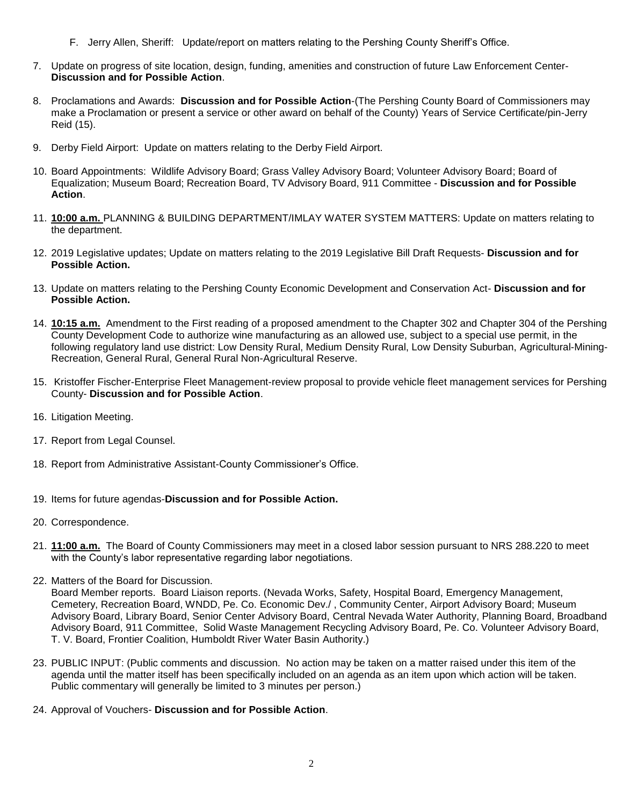- F. Jerry Allen, Sheriff: Update/report on matters relating to the Pershing County Sheriff's Office.
- 7. Update on progress of site location, design, funding, amenities and construction of future Law Enforcement Center-**Discussion and for Possible Action**.
- 8. Proclamations and Awards: **Discussion and for Possible Action**-(The Pershing County Board of Commissioners may make a Proclamation or present a service or other award on behalf of the County) Years of Service Certificate/pin-Jerry Reid (15).
- 9. Derby Field Airport: Update on matters relating to the Derby Field Airport.
- 10. Board Appointments: Wildlife Advisory Board; Grass Valley Advisory Board; Volunteer Advisory Board; Board of Equalization; Museum Board; Recreation Board, TV Advisory Board, 911 Committee - **Discussion and for Possible Action**.
- 11. **10:00 a.m.** PLANNING & BUILDING DEPARTMENT/IMLAY WATER SYSTEM MATTERS: Update on matters relating to the department.
- 12. 2019 Legislative updates; Update on matters relating to the 2019 Legislative Bill Draft Requests- **Discussion and for Possible Action.**
- 13. Update on matters relating to the Pershing County Economic Development and Conservation Act- **Discussion and for Possible Action.**
- 14. **10:15 a.m.** Amendment to the First reading of a proposed amendment to the Chapter 302 and Chapter 304 of the Pershing County Development Code to authorize wine manufacturing as an allowed use, subject to a special use permit, in the following regulatory land use district: Low Density Rural, Medium Density Rural, Low Density Suburban, Agricultural-Mining-Recreation, General Rural, General Rural Non-Agricultural Reserve.
- 15. Kristoffer Fischer-Enterprise Fleet Management-review proposal to provide vehicle fleet management services for Pershing County- **Discussion and for Possible Action**.
- 16. Litigation Meeting.
- 17. Report from Legal Counsel.
- 18. Report from Administrative Assistant-County Commissioner's Office.
- 19. Items for future agendas-**Discussion and for Possible Action.**
- 20. Correspondence.
- 21. **11:00 a.m.** The Board of County Commissioners may meet in a closed labor session pursuant to NRS 288.220 to meet with the County's labor representative regarding labor negotiations.
- 22. Matters of the Board for Discussion.

Board Member reports. Board Liaison reports. (Nevada Works, Safety, Hospital Board, Emergency Management, Cemetery, Recreation Board, WNDD, Pe. Co. Economic Dev./ , Community Center, Airport Advisory Board; Museum Advisory Board, Library Board, Senior Center Advisory Board, Central Nevada Water Authority, Planning Board, Broadband Advisory Board, 911 Committee, Solid Waste Management Recycling Advisory Board, Pe. Co. Volunteer Advisory Board, T. V. Board, Frontier Coalition, Humboldt River Water Basin Authority.)

- 23. PUBLIC INPUT: (Public comments and discussion. No action may be taken on a matter raised under this item of the agenda until the matter itself has been specifically included on an agenda as an item upon which action will be taken. Public commentary will generally be limited to 3 minutes per person.)
- 24. Approval of Vouchers- **Discussion and for Possible Action**.